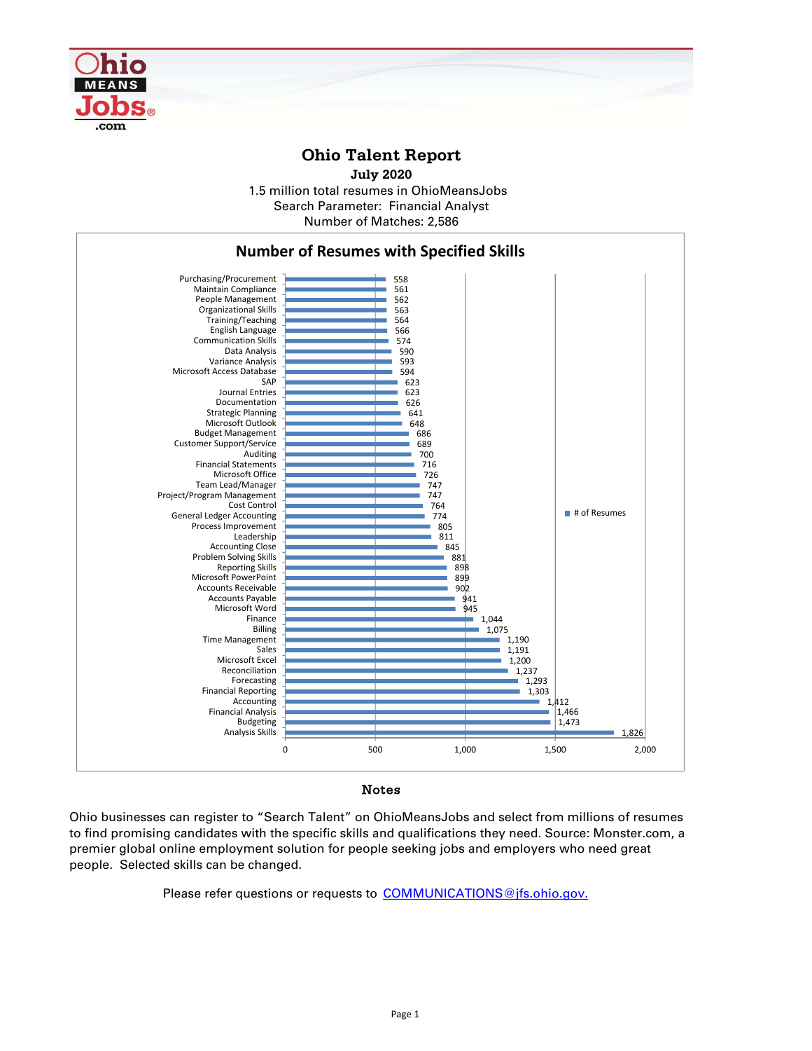

## **Ohio Talent Report**

1.5 million total resumes in OhioMeansJobs Number of Matches: 2,586 **July 2020** Search Parameter: Financial Analyst



## Notes

Ohio businesses can register to "Search Talent" on OhioMeansJobs and select from millions of resumes to find promising candidates with the specific skills and qualifications they need. Source: Monster.com, a premier global online employment solution for people seeking jobs and employers who need great people. Selected skills can be changed.

Please refer questions or requests to COMMUNICATIONS@jfs.ohio.gov.